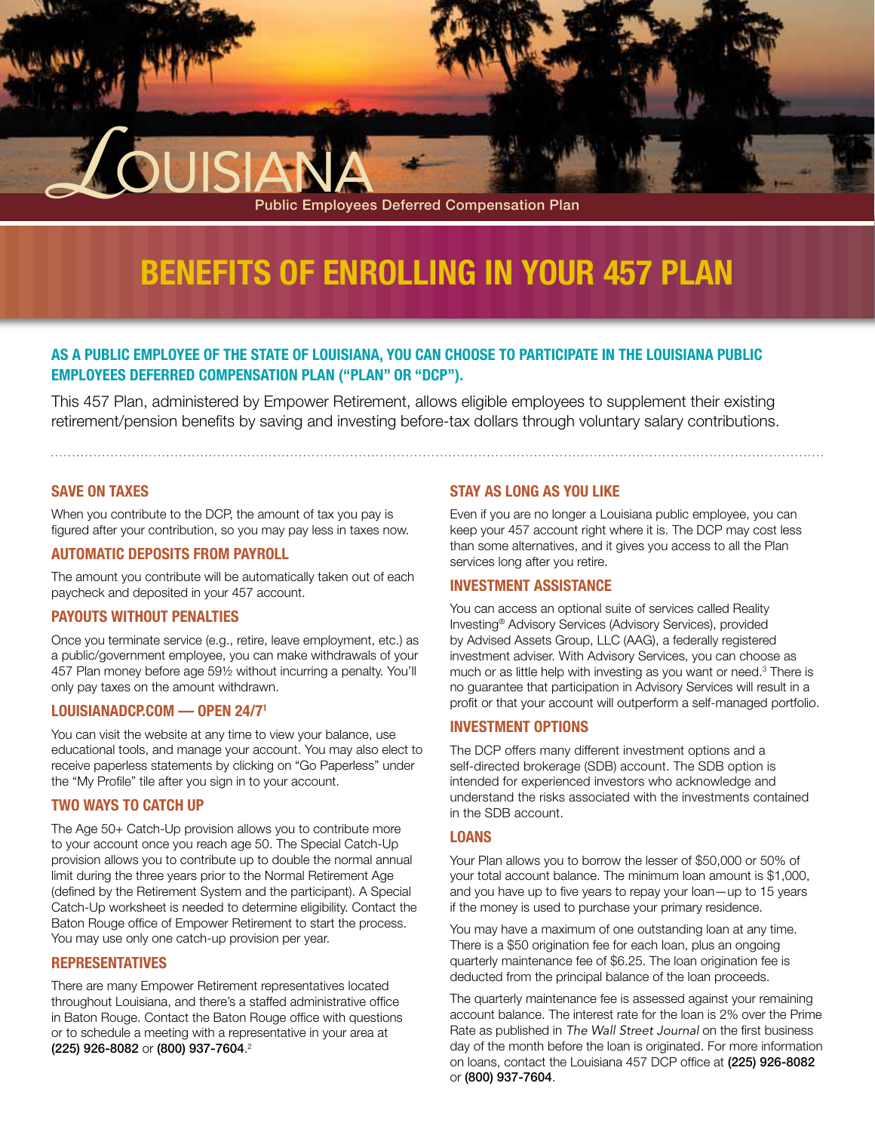# **Benefits of Enrolling In Your 457 Plan**

Public Employees Deferred Compensation Plan

## **As a public employee of the State of Louisiana, you can choose to participate in the Louisiana Public Employees Deferred Compensation Plan ("Plan" or "DCP").**

This 457 Plan, administered by Empower Retirement, allows eligible employees to supplement their existing retirement/pension benefits by saving and investing before-tax dollars through voluntary salary contributions.

**Save on Taxes**

When you contribute to the DCP, the amount of tax you pay is figured after your contribution, so you may pay less in taxes now.

**LOUISIANA** 

## **Automatic Deposits from Payroll**

The amount you contribute will be automatically taken out of each paycheck and deposited in your 457 account.

## **Payouts Without Penalties**

Once you terminate service (e.g., retire, leave employment, etc.) as a public/government employee, you can make withdrawals of your 457 Plan money before age 59½ without incurring a penalty. You'll only pay taxes on the amount withdrawn.

## **louisianadcp.com — Open 24/71**

You can visit the website at any time to view your balance, use educational tools, and manage your account. You may also elect to receive paperless statements by clicking on "Go Paperless" under the "My Profile" tile after you sign in to your account.

## **Two Ways to Catch Up**

The Age 50+ Catch-Up provision allows you to contribute more to your account once you reach age 50. The Special Catch-Up provision allows you to contribute up to double the normal annual limit during the three years prior to the Normal Retirement Age (defined by the Retirement System and the participant). A Special Catch-Up worksheet is needed to determine eligibility. Contact the Baton Rouge office of Empower Retirement to start the process. You may use only one catch-up provision per year.

## **Representatives**

There are many Empower Retirement representatives located throughout Louisiana, and there's a staffed administrative office in Baton Rouge. Contact the Baton Rouge office with questions or to schedule a meeting with a representative in your area at (225) 926-8082 or (800) 937-7604. 2

## **Stay as Long as You Like**

Even if you are no longer a Louisiana public employee, you can keep your 457 account right where it is. The DCP may cost less than some alternatives, and it gives you access to all the Plan services long after you retire.

#### **Investment Assistance**

You can access an optional suite of services called Reality Investing® Advisory Services (Advisory Services), provided by Advised Assets Group, LLC (AAG), a federally registered investment adviser. With Advisory Services, you can choose as much or as little help with investing as you want or need.<sup>3</sup> There is no guarantee that participation in Advisory Services will result in a profit or that your account will outperform a self-managed portfolio.

#### **Investment Options**

The DCP offers many different investment options and a self-directed brokerage (SDB) account. The SDB option is intended for experienced investors who acknowledge and understand the risks associated with the investments contained in the SDB account.

#### **Loans**

Your Plan allows you to borrow the lesser of \$50,000 or 50% of your total account balance. The minimum loan amount is \$1,000, and you have up to five years to repay your loan—up to 15 years if the money is used to purchase your primary residence.

You may have a maximum of one outstanding loan at any time. There is a \$50 origination fee for each loan, plus an ongoing quarterly maintenance fee of \$6.25. The loan origination fee is deducted from the principal balance of the loan proceeds.

The quarterly maintenance fee is assessed against your remaining account balance. The interest rate for the loan is 2% over the Prime Rate as published in *The Wall Street Journal* on the first business day of the month before the loan is originated. For more information on loans, contact the Louisiana 457 DCP office at (225) 926-8082 or (800) 937-7604.